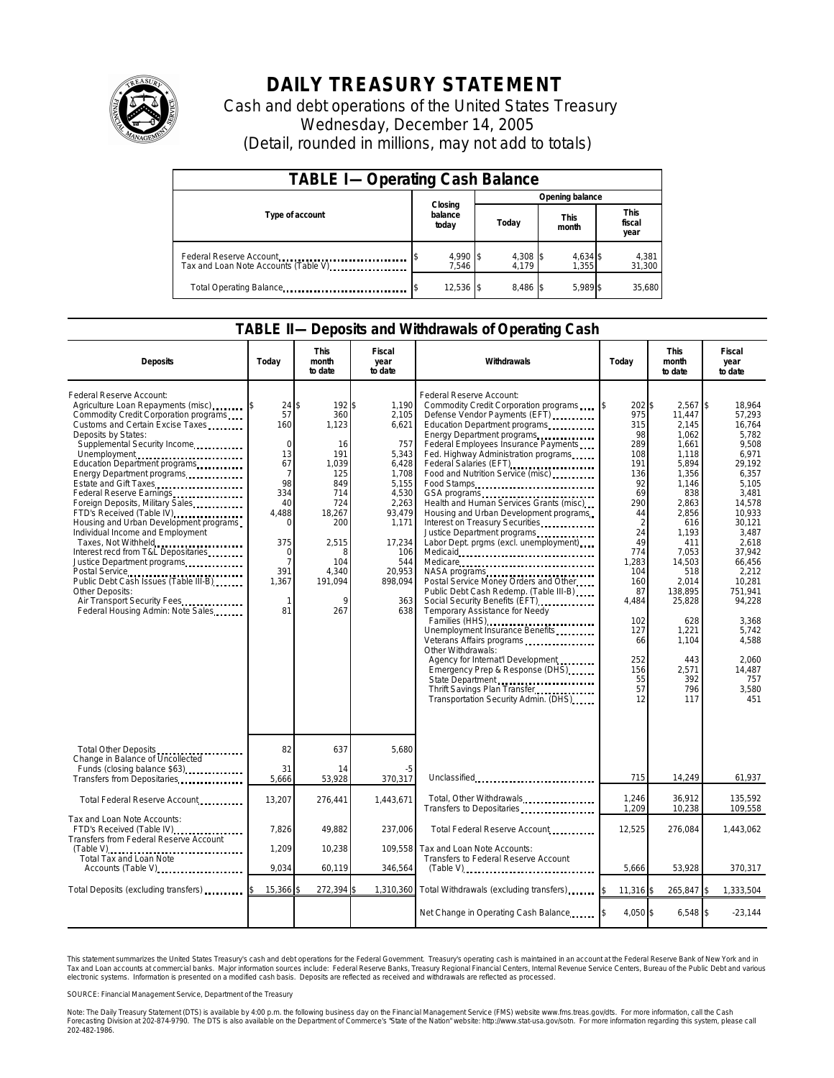

## **DAILY TREASURY STATEMENT**

Cash and debt operations of the United States Treasury Wednesday, December 14, 2005 (Detail, rounded in millions, may not add to totals)

| <b>TABLE I-Operating Cash Balance</b>                           |                             |                 |                      |                               |  |  |  |
|-----------------------------------------------------------------|-----------------------------|-----------------|----------------------|-------------------------------|--|--|--|
|                                                                 |                             | Opening balance |                      |                               |  |  |  |
| Type of account                                                 | Closing<br>balance<br>today | Today           | <b>This</b><br>month | <b>This</b><br>fiscal<br>year |  |  |  |
| Federal Reserve Account<br>Tax and Loan Note Accounts (Table V) | 4,990 \$<br>7.546           | 4,308<br>4.179  | 4,634 \$<br>1.355    | 4,381<br>31,300               |  |  |  |
| Total Operating Balance                                         | 12,536 \$                   | 8.486 \$        | 5.989 \$             | 35.680                        |  |  |  |

## **TABLE II—Deposits and Withdrawals of Operating Cash**

| <b>Deposits</b>                                                                                                                                                                                                                                                                                                                                                                                                                                                                                                                                                                                                                                                                                                     | Todav                                                                                                                                                | This<br>month<br>to date                                                                                                                       | Fiscal<br>year<br>to date                                                                                                                                          | Withdrawals                                                                                                                                                                                                                                                                                                                                                                                                                                                                                                                                                                                                                                                                                                                                                                                                                                                                                                                                                                                                                                                                                                                                                                                                          | Today                                                                                                                                                                                                         | <b>This</b><br>month<br>to date                                                                                                                                                                                                                           | Fiscal<br>year<br>to date                                                                                                                                                                                                                                                   |
|---------------------------------------------------------------------------------------------------------------------------------------------------------------------------------------------------------------------------------------------------------------------------------------------------------------------------------------------------------------------------------------------------------------------------------------------------------------------------------------------------------------------------------------------------------------------------------------------------------------------------------------------------------------------------------------------------------------------|------------------------------------------------------------------------------------------------------------------------------------------------------|------------------------------------------------------------------------------------------------------------------------------------------------|--------------------------------------------------------------------------------------------------------------------------------------------------------------------|----------------------------------------------------------------------------------------------------------------------------------------------------------------------------------------------------------------------------------------------------------------------------------------------------------------------------------------------------------------------------------------------------------------------------------------------------------------------------------------------------------------------------------------------------------------------------------------------------------------------------------------------------------------------------------------------------------------------------------------------------------------------------------------------------------------------------------------------------------------------------------------------------------------------------------------------------------------------------------------------------------------------------------------------------------------------------------------------------------------------------------------------------------------------------------------------------------------------|---------------------------------------------------------------------------------------------------------------------------------------------------------------------------------------------------------------|-----------------------------------------------------------------------------------------------------------------------------------------------------------------------------------------------------------------------------------------------------------|-----------------------------------------------------------------------------------------------------------------------------------------------------------------------------------------------------------------------------------------------------------------------------|
| Federal Reserve Account:<br>Agriculture Loan Repayments (misc)<br>Commodity Credit Corporation programs<br>Customs and Certain Excise Taxes<br>Deposits by States:<br>Supplemental Security Income<br>Unemployment<br>Education Department programs<br>Energy Department programs<br>Estate and Gift Taxes<br>Federal Reserve Earnings<br>Foreign Deposits, Military Sales<br>FTD's Received (Table IV)<br>Housing and Urban Development programs<br>Individual Income and Employment<br>Taxes, Not Withheld<br>Interest recd from T&L Depositaries<br>Justice Department programs<br>Public Debt Cash Issues (Table III-B)<br>Other Deposits:<br>Air Transport Security Fees.<br>Federal Housing Admin: Note Sales | 24<br>57<br>160<br>$\Omega$<br>13<br>67<br>7<br>98<br>334<br>40<br>4.488<br>$\Omega$<br>375<br>$\Omega$<br>$\overline{7}$<br>391<br>1,367<br>1<br>81 | 192\$<br>\$<br>360<br>1,123<br>16<br>191<br>1.039<br>125<br>849<br>714<br>724<br>18,267<br>200<br>2,515<br>Я<br>104<br>4,340<br>191,094<br>267 | 1,190<br>2,105<br>6,621<br>757<br>5,343<br>6,428<br>1,708<br>5,155<br>4,530<br>2,263<br>93.479<br>1,171<br>17,234<br>106<br>544<br>20,953<br>898,094<br>363<br>638 | Federal Reserve Account:<br>Commodity Credit Corporation programs<br>Defense Vendor Payments (EFT)<br>Education Department programs<br>Energy Department programs<br>Federal Employees Insurance Payments<br>Fed. Highway Administration programs<br>Federal Salaries (EFT)<br>Food and Nutrition Service (misc)<br>Food Stamps<br>GSA programs<br>unique vertical contract contract contract contract contract contract contract contract contract contract contract contract contract contract contract contract contract contract contract contract contract con<br>Health and Human Services Grants (misc)<br>Housing and Urban Development programs.<br>Interest on Treasury Securities<br>Justice Department programs<br>Labor Dept. prgms (excl. unemployment)<br>Medicare<br>Postal Service Money Orders and Other<br>Public Debt Cash Redemp. (Table III-B)<br>Social Security Benefits (EFT)<br>Temporary Assistance for Needy<br>Families (HHS)<br>Unemployment Insurance Benefits<br>Veterans Affairs programs<br>Other Withdrawals:<br>Agency for Internat'l Development<br>Emergency Prep & Response (DHS)<br>State Department<br>Thrift Savings Plan Transfer<br>Transportation Security Admin. (DHS) | 202\$<br>975<br>315<br>98<br>289<br>108<br>191<br>136<br>92<br>69<br>290<br>44<br>$\overline{2}$<br>24<br>49<br>774<br>1,283<br>104<br>160<br>87<br>4,484<br>102<br>127<br>66<br>252<br>156<br>55<br>57<br>12 | $2,567$ \$<br>11.447<br>2,145<br>1,062<br>1,661<br>1,118<br>5,894<br>1,356<br>1,146<br>838<br>2,863<br>2,856<br>616<br>1,193<br>411<br>7.053<br>14,503<br>518<br>2,014<br>138,895<br>25,828<br>628<br>1,221<br>1.104<br>443<br>2,571<br>392<br>796<br>117 | 18.964<br>57.293<br>16.764<br>5,782<br>9,508<br>6,971<br>29.192<br>6.357<br>5,105<br>3,481<br>14.578<br>10.933<br>30,121<br>3,487<br>2.618<br>37.942<br>66,456<br>2,212<br>10.281<br>751.941<br>94,228<br>3,368<br>5.742<br>4.588<br>2.060<br>14.487<br>757<br>3,580<br>451 |
| Total Other Deposits<br>Change in Balance of Uncollected                                                                                                                                                                                                                                                                                                                                                                                                                                                                                                                                                                                                                                                            | 82                                                                                                                                                   | 637                                                                                                                                            | 5,680                                                                                                                                                              |                                                                                                                                                                                                                                                                                                                                                                                                                                                                                                                                                                                                                                                                                                                                                                                                                                                                                                                                                                                                                                                                                                                                                                                                                      |                                                                                                                                                                                                               |                                                                                                                                                                                                                                                           |                                                                                                                                                                                                                                                                             |
| Funds (closing balance \$63)<br>Transfers from Depositaries                                                                                                                                                                                                                                                                                                                                                                                                                                                                                                                                                                                                                                                         | 31<br>5,666                                                                                                                                          | 14<br>53,928                                                                                                                                   | -5<br>370,317                                                                                                                                                      | Unclassified                                                                                                                                                                                                                                                                                                                                                                                                                                                                                                                                                                                                                                                                                                                                                                                                                                                                                                                                                                                                                                                                                                                                                                                                         | 715                                                                                                                                                                                                           | 14,249                                                                                                                                                                                                                                                    | 61,937                                                                                                                                                                                                                                                                      |
| Total Federal Reserve Account                                                                                                                                                                                                                                                                                                                                                                                                                                                                                                                                                                                                                                                                                       | 13,207                                                                                                                                               | 276,441                                                                                                                                        | 1,443,671                                                                                                                                                          | Total, Other Withdrawals<br>Transfers to Depositaries                                                                                                                                                                                                                                                                                                                                                                                                                                                                                                                                                                                                                                                                                                                                                                                                                                                                                                                                                                                                                                                                                                                                                                | 1,246<br>1,209                                                                                                                                                                                                | 36,912<br>10,238                                                                                                                                                                                                                                          | 135,592<br>109,558                                                                                                                                                                                                                                                          |
| Tax and Loan Note Accounts:<br>FTD's Received (Table IV)<br>Transfers from Federal Reserve Account                                                                                                                                                                                                                                                                                                                                                                                                                                                                                                                                                                                                                  | 7,826                                                                                                                                                | 49,882                                                                                                                                         | 237,006                                                                                                                                                            | Total Federal Reserve Account                                                                                                                                                                                                                                                                                                                                                                                                                                                                                                                                                                                                                                                                                                                                                                                                                                                                                                                                                                                                                                                                                                                                                                                        | 12,525                                                                                                                                                                                                        | 276,084                                                                                                                                                                                                                                                   | 1,443,062                                                                                                                                                                                                                                                                   |
| $(Table V)$<br>Total Tax and Loan Note<br>Accounts (Table V)                                                                                                                                                                                                                                                                                                                                                                                                                                                                                                                                                                                                                                                        | 1.209<br>9.034                                                                                                                                       | 10,238<br>60,119                                                                                                                               | 109.558<br>346,564                                                                                                                                                 | Tax and Loan Note Accounts:<br>Transfers to Federal Reserve Account<br>$(Table V)$                                                                                                                                                                                                                                                                                                                                                                                                                                                                                                                                                                                                                                                                                                                                                                                                                                                                                                                                                                                                                                                                                                                                   | 5,666                                                                                                                                                                                                         | 53,928                                                                                                                                                                                                                                                    | 370,317                                                                                                                                                                                                                                                                     |
| Total Deposits (excluding transfers)                                                                                                                                                                                                                                                                                                                                                                                                                                                                                                                                                                                                                                                                                | 15,366                                                                                                                                               | 272,394                                                                                                                                        |                                                                                                                                                                    | 1,310,360 Total Withdrawals (excluding transfers)                                                                                                                                                                                                                                                                                                                                                                                                                                                                                                                                                                                                                                                                                                                                                                                                                                                                                                                                                                                                                                                                                                                                                                    | 11,316                                                                                                                                                                                                        | 265,847 \$                                                                                                                                                                                                                                                | 1,333,504                                                                                                                                                                                                                                                                   |
|                                                                                                                                                                                                                                                                                                                                                                                                                                                                                                                                                                                                                                                                                                                     |                                                                                                                                                      |                                                                                                                                                |                                                                                                                                                                    | Net Change in Operating Cash Balance                                                                                                                                                                                                                                                                                                                                                                                                                                                                                                                                                                                                                                                                                                                                                                                                                                                                                                                                                                                                                                                                                                                                                                                 | 4.050 \$                                                                                                                                                                                                      | $6,548$ \$                                                                                                                                                                                                                                                | $-23,144$                                                                                                                                                                                                                                                                   |

This statement summarizes the United States Treasury's cash and debt operations for the Federal Government. Treasury's operating cash is maintained in an account at the Federal Reserve Bank of New York and in<br>Tax and Loan narizes the United States Treasury's cash and debt operations for the Federal Government. Treasury's operating cash is maintained in an account at the Federal Reserve Bank of New York and in<br>ints at commercial banks. Major

SOURCE: Financial Management Service, Department of the Treasury

Note: The Daily Treasury Statement (DTS) is available by 4:00 p.m. the following business day on the Financial Management Service (FMS) website www.fms.treas.gov/dts. For more information, call the Cash<br>Forecasting Divisio 202-482-1986.